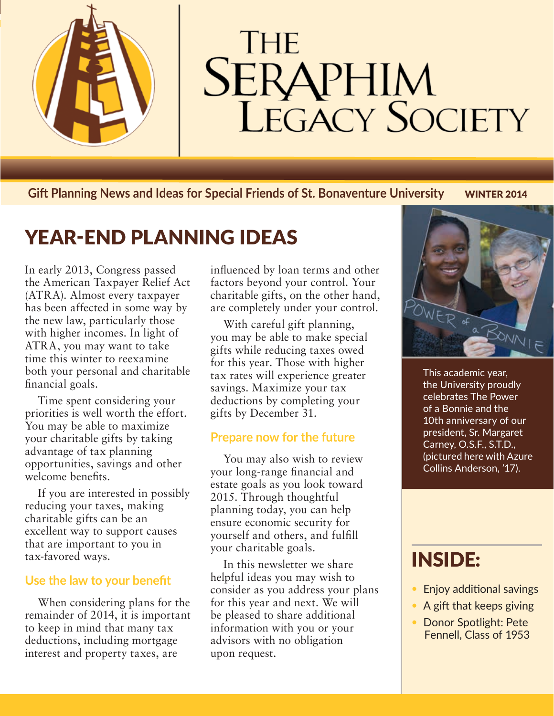

# **THE SERAPHIM**<br>LEGACY SOCIETY

**Gift Planning News and Ideas for Special Friends of St. Bonaventure University WINTER 2014** 

## YEAR-END PLANNING IDEAS

In early 2013, Congress passed the American Taxpayer Relief Act (ATRA). Almost every taxpayer has been affected in some way by the new law, particularly those with higher incomes. In light of ATRA, you may want to take time this winter to reexamine both your personal and charitable financial goals.

Time spent considering your priorities is well worth the effort. You may be able to maximize your charitable gifts by taking advantage of tax planning opportunities, savings and other welcome benefits.

If you are interested in possibly reducing your taxes, making charitable gifts can be an excellent way to support causes that are important to you in tax-favored ways.

#### **Use the law to your benefit**

When considering plans for the remainder of 2014, it is important to keep in mind that many tax deductions, including mortgage interest and property taxes, are

influenced by loan terms and other factors beyond your control. Your charitable gifts, on the other hand, are completely under your control.

With careful gift planning, you may be able to make special gifts while reducing taxes owed for this year. Those with higher tax rates will experience greater savings. Maximize your tax deductions by completing your gifts by December 31.

#### **Prepare now for the future**

You may also wish to review your long-range financial and estate goals as you look toward 2015. Through thoughtful planning today, you can help ensure economic security for yourself and others, and fulfill your charitable goals.

In this newsletter we share helpful ideas you may wish to consider as you address your plans for this year and next. We will be pleased to share additional information with you or your advisors with no obligation upon request.



This academic year, the University proudly celebrates The Power of a Bonnie and the 10th anniversary of our president, Sr. Margaret Carney, O.S.F., S.T.D., (pictured here with Azure Collins Anderson, '17).

## INSIDE:

- Enjoy additional savings
- A gift that keeps giving
- Donor Spotlight: Pete Fennell, Class of 1953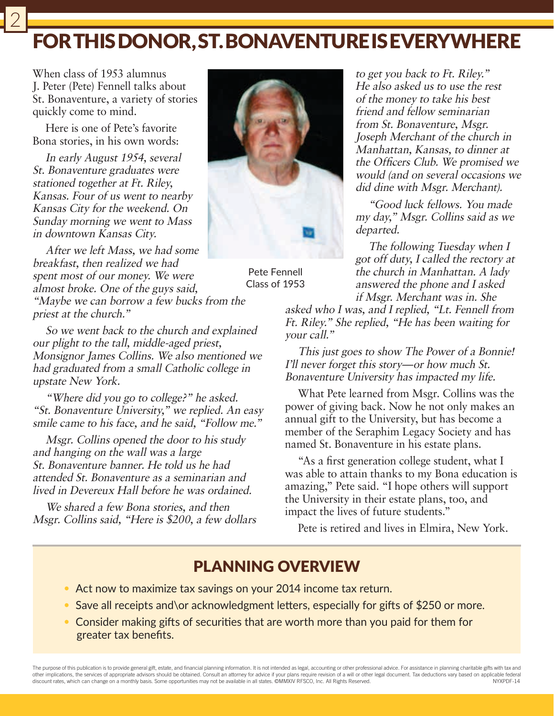## FOR THIS DONOR, ST. BONAVENTURE IS EVERYWHERE

When class of 1953 alumnus J. Peter (Pete) Fennell talks about St. Bonaventure, a variety of stories quickly come to mind.

Here is one of Pete's favorite Bona stories, in his own words:

In early August 1954, several St. Bonaventure graduates were stationed together at Ft. Riley, Kansas. Four of us went to nearby Kansas City for the weekend. On Sunday morning we went to Mass in downtown Kansas City.

After we left Mass, we had some breakfast, then realized we had spent most of our money. We were almost broke. One of the guys said,

"Maybe we can borrow a few bucks from the priest at the church."

So we went back to the church and explained our plight to the tall, middle-aged priest, Monsignor James Collins. We also mentioned we had graduated from a small Catholic college in upstate New York.

"Where did you go to college?" he asked. "St. Bonaventure University," we replied. An easy smile came to his face, and he said, "Follow me."

Msgr. Collins opened the door to his study and hanging on the wall was a large St. Bonaventure banner. He told us he had attended St. Bonaventure as a seminarian and lived in Devereux Hall before he was ordained.

We shared a few Bona stories, and then Msgr. Collins said, "Here is \$200, a few dollars



Pete Fennell Class of 1953

to get you back to Ft. Riley." He also asked us to use the rest of the money to take his best friend and fellow seminarian from St. Bonaventure, Msgr. Joseph Merchant of the church in Manhattan, Kansas, to dinner at the Officers Club. We promised we would (and on several occasions we did dine with Msgr. Merchant).

"Good luck fellows. You made my day," Msgr. Collins said as we departed.

The following Tuesday when I got off duty, I called the rectory at the church in Manhattan. A lady answered the phone and I asked if Msgr. Merchant was in. She

asked who I was, and I replied, "Lt. Fennell from Ft. Riley." She replied, "He has been waiting for your call."

This just goes to show The Power of a Bonnie! I'll never forget this story—or how much St. Bonaventure University has impacted my life.

What Pete learned from Msgr. Collins was the power of giving back. Now he not only makes an annual gift to the University, but has become a member of the Seraphim Legacy Society and has named St. Bonaventure in his estate plans.

"As a first generation college student, what I was able to attain thanks to my Bona education is amazing," Pete said. "I hope others will support the University in their estate plans, too, and impact the lives of future students."

Pete is retired and lives in Elmira, New York.

### PLANNING OVERVIEW

- Act now to maximize tax savings on your 2014 income tax return.
- Save all receipts and\or acknowledgment letters, especially for gifts of \$250 or more.
- Consider making gifts of securities that are worth more than you paid for them for greater tax benefits.

The purpose of this publication is to provide general gift, estate, and financial planning information. It is not intended as legal, accounting or other professional advice. For assistance in planning charitable gifts with other implications, the services of appropriate advisors should be obtained. Consult an attorney for advice if your plans require revision of a will or other legal document. Tax deductions vary based on applicable federal discount rates, which can change on a monthly basis. Some opportunities may not be available in all states. ©MMXIV RFSCO, Inc. All Rights Reserved. NYXPDF-14

2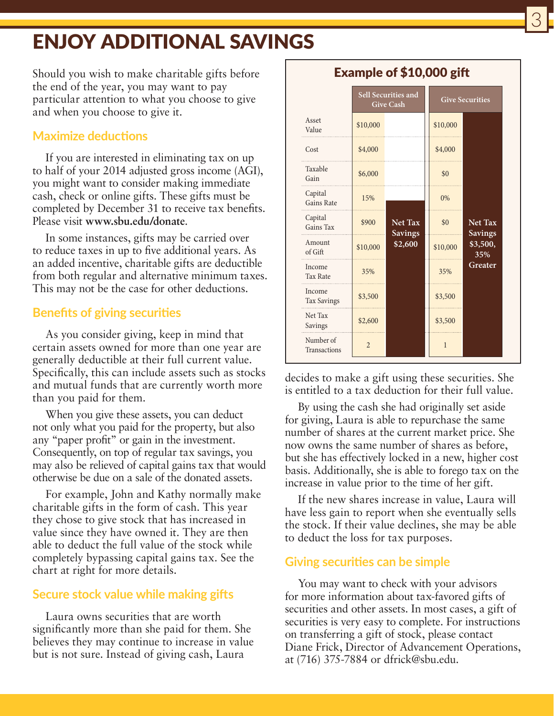## ENJOY ADDITIONAL SAVINGS

Should you wish to make charitable gifts before the end of the year, you may want to pay particular attention to what you choose to give and when you choose to give it.

#### **Maximize deductions**

If you are interested in eliminating tax on up to half of your 2014 adjusted gross income (AGI), you might want to consider making immediate cash, check or online gifts. These gifts must be completed by December 31 to receive tax benefits. Please visit **www.sbu.edu/donate**.

In some instances, gifts may be carried over to reduce taxes in up to five additional years. As an added incentive, charitable gifts are deductible from both regular and alternative minimum taxes. This may not be the case for other deductions.

#### **Benefits of giving securities**

As you consider giving, keep in mind that certain assets owned for more than one year are generally deductible at their full current value. Specifically, this can include assets such as stocks and mutual funds that are currently worth more than you paid for them.

When you give these assets, you can deduct not only what you paid for the property, but also any "paper profit" or gain in the investment. Consequently, on top of regular tax savings, you may also be relieved of capital gains tax that would otherwise be due on a sale of the donated assets.

For example, John and Kathy normally make charitable gifts in the form of cash. This year they chose to give stock that has increased in value since they have owned it. They are then able to deduct the full value of the stock while completely bypassing capital gains tax. See the chart at right for more details.

#### **Secure stock value while making gifts**

Laura owns securities that are worth significantly more than she paid for them. She believes they may continue to increase in value but is not sure. Instead of giving cash, Laura

|                                  | Sell Securities and<br><b>Give Cash</b> |                                             | <b>Give Securities</b> |                                                                |
|----------------------------------|-----------------------------------------|---------------------------------------------|------------------------|----------------------------------------------------------------|
| Asset<br>Value                   | \$10,000                                |                                             | \$10,000               |                                                                |
| Cost                             | \$4,000                                 |                                             | \$4,000                |                                                                |
| Taxable<br>Gain                  | \$6,000                                 |                                             | \$0                    |                                                                |
| Capital<br><b>Gains Rate</b>     | 15%                                     | <b>Net Tax</b><br><b>Savings</b><br>\$2,600 | 0%                     | <b>Net Tax</b><br><b>Savings</b><br>\$3,500,<br>35%<br>Greater |
| Capital<br>Gains Tax             | \$900                                   |                                             | \$0                    |                                                                |
| Amount<br>of Gift                | \$10,000                                |                                             | \$10,000               |                                                                |
| Income<br><b>Tax Rate</b>        | 35%                                     |                                             | 35%                    |                                                                |
| Income<br><b>Tax Savings</b>     | \$3,500                                 |                                             | \$3,500                |                                                                |
| Net Tax<br>Savings               | \$2,600                                 |                                             | \$3,500                |                                                                |
| Number of<br><b>Transactions</b> | $\overline{2}$                          |                                             | 1                      |                                                                |

decides to make a gift using these securities. She is entitled to a tax deduction for their full value.

By using the cash she had originally set aside for giving, Laura is able to repurchase the same number of shares at the current market price. She now owns the same number of shares as before, but she has effectively locked in a new, higher cost basis. Additionally, she is able to forego tax on the increase in value prior to the time of her gift.

If the new shares increase in value, Laura will have less gain to report when she eventually sells the stock. If their value declines, she may be able to deduct the loss for tax purposes.

#### **Giving securities can be simple**

You may want to check with your advisors for more information about tax-favored gifts of securities and other assets. In most cases, a gift of securities is very easy to complete. For instructions on transferring a gift of stock, please contact Diane Frick, Director of Advancement Operations, at (716) 375-7884 or dfrick@sbu.edu.

#### Example of \$10,000 gift